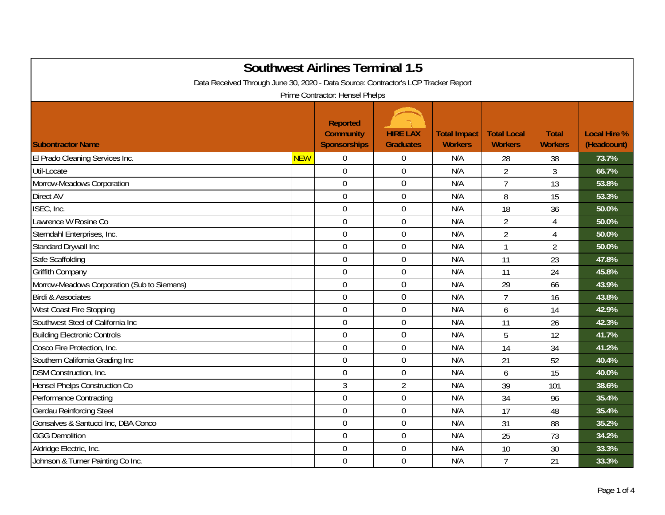| <b>Southwest Airlines Terminal 1.5</b><br>Data Received Through June 30, 2020 - Data Source: Contractor's LCP Tracker Report<br>Prime Contractor: Hensel Phelps |            |                |                  |     |                |                |       |  |
|-----------------------------------------------------------------------------------------------------------------------------------------------------------------|------------|----------------|------------------|-----|----------------|----------------|-------|--|
|                                                                                                                                                                 |            |                |                  |     |                |                |       |  |
| El Prado Cleaning Services Inc.                                                                                                                                 | <b>NEW</b> | $\mathbf 0$    | 0                | N/A | 28             | 38             | 73.7% |  |
| Util-Locate                                                                                                                                                     |            | $\overline{0}$ | $\mathbf 0$      | N/A | $\overline{2}$ | $\overline{3}$ | 66.7% |  |
| Morrow-Meadows Corporation                                                                                                                                      |            | $\overline{0}$ | $\overline{0}$   | N/A | $\overline{7}$ | 13             | 53.8% |  |
| Direct AV                                                                                                                                                       |            | $\mathbf 0$    | $\mathbf 0$      | N/A | 8              | 15             | 53.3% |  |
| ISEC, Inc.                                                                                                                                                      |            | $\mathbf 0$    | $\mathbf 0$      | N/A | 18             | 36             | 50.0% |  |
| Lawrence W Rosine Co                                                                                                                                            |            | $\mathbf 0$    | $\mathbf 0$      | N/A | $\overline{2}$ | 4              | 50.0% |  |
| Sterndahl Enterprises, Inc.                                                                                                                                     |            | $\mathbf 0$    | $\boldsymbol{0}$ | N/A | $\overline{2}$ | $\overline{4}$ | 50.0% |  |
| Standard Drywall Inc                                                                                                                                            |            | $\overline{0}$ | $\mathbf 0$      | N/A | $\mathbf{1}$   | $\overline{2}$ | 50.0% |  |
| Safe Scaffolding                                                                                                                                                |            | $\mathbf 0$    | $\mathbf 0$      | N/A | 11             | 23             | 47.8% |  |
| <b>Griffith Company</b>                                                                                                                                         |            | $\mathbf 0$    | $\mathbf 0$      | N/A | 11             | 24             | 45.8% |  |
| Morrow-Meadows Corporation (Sub to Siemens)                                                                                                                     |            | $\overline{0}$ | 0                | N/A | 29             | 66             | 43.9% |  |
| <b>Birdi &amp; Associates</b>                                                                                                                                   |            | $\mathbf 0$    | 0                | N/A | $\overline{7}$ | 16             | 43.8% |  |
| West Coast Fire Stopping                                                                                                                                        |            | $\overline{0}$ | $\mathbf 0$      | N/A | 6              | 14             | 42.9% |  |
| Southwest Steel of California Inc                                                                                                                               |            | $\mathbf 0$    | $\boldsymbol{0}$ | N/A | 11             | 26             | 42.3% |  |
| <b>Building Electronic Controls</b>                                                                                                                             |            | $\overline{0}$ | 0                | N/A | 5              | 12             | 41.7% |  |
| Cosco Fire Protection, Inc.                                                                                                                                     |            | $\overline{0}$ | $\mathbf 0$      | N/A | 14             | 34             | 41.2% |  |
| Southern California Grading Inc                                                                                                                                 |            | $\mathbf 0$    | $\mathbf 0$      | N/A | 21             | 52             | 40.4% |  |
| <b>DSM Construction, Inc.</b>                                                                                                                                   |            | $\overline{0}$ | $\mathbf 0$      | N/A | 6              | 15             | 40.0% |  |
| Hensel Phelps Construction Co                                                                                                                                   |            | $\mathfrak{Z}$ | $\overline{2}$   | N/A | 39             | 101            | 38.6% |  |
| Performance Contracting                                                                                                                                         |            | $\mathbf 0$    | $\mathbf 0$      | N/A | 34             | 96             | 35.4% |  |
| <b>Gerdau Reinforcing Steel</b>                                                                                                                                 |            | $\overline{0}$ | $\boldsymbol{0}$ | N/A | 17             | 48             | 35.4% |  |
| Gonsalves & Santucci Inc, DBA Conco                                                                                                                             |            | $\mathbf 0$    | $\boldsymbol{0}$ | N/A | 31             | 88             | 35.2% |  |
| <b>GGG Demolition</b>                                                                                                                                           |            | $\overline{0}$ | $\mathbf 0$      | N/A | 25             | 73             | 34.2% |  |
| Aldridge Electric, Inc.                                                                                                                                         |            | $\mathbf 0$    | $\boldsymbol{0}$ | N/A | 10             | 30             | 33.3% |  |
| Johnson & Turner Painting Co Inc.                                                                                                                               |            | $\overline{0}$ | $\mathbf 0$      | N/A | $\overline{7}$ | 21             | 33.3% |  |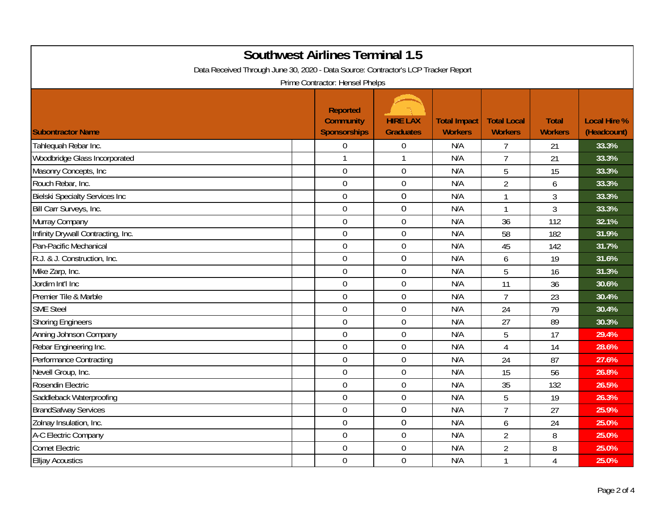| <b>Southwest Airlines Terminal 1.5</b><br>Data Received Through June 30, 2020 - Data Source: Contractor's LCP Tracker Report |                                                                                               |                                     |                                       |                                      |                                |                                    |  |  |
|------------------------------------------------------------------------------------------------------------------------------|-----------------------------------------------------------------------------------------------|-------------------------------------|---------------------------------------|--------------------------------------|--------------------------------|------------------------------------|--|--|
| <b>Subontractor Name</b>                                                                                                     | Prime Contractor: Hensel Phelps<br><b>Reported</b><br><b>Community</b><br><b>Sponsorships</b> | <b>HIRE LAX</b><br><b>Graduates</b> | <b>Total Impact</b><br><b>Workers</b> | <b>Total Local</b><br><b>Workers</b> | <b>Total</b><br><b>Workers</b> | <b>Local Hire %</b><br>(Headcount) |  |  |
| Tahlequah Rebar Inc.                                                                                                         | $\mathbf 0$                                                                                   | $\boldsymbol{0}$                    | N/A                                   | $\overline{7}$                       | 21                             | 33.3%                              |  |  |
| Woodbridge Glass Incorporated                                                                                                | $\mathbf{1}$                                                                                  | $\mathbf{1}$                        | N/A                                   | $\overline{7}$                       | 21                             | 33.3%                              |  |  |
| Masonry Concepts, Inc                                                                                                        | $\overline{0}$                                                                                | $\mathbf 0$                         | N/A                                   | 5                                    | 15                             | 33.3%                              |  |  |
| Rouch Rebar, Inc.                                                                                                            | $\mathbf 0$                                                                                   | $\mathbf 0$                         | N/A                                   | $\overline{2}$                       | 6                              | 33.3%                              |  |  |
| <b>Bielski Specialty Services Inc</b>                                                                                        | $\mathbf 0$                                                                                   | $\boldsymbol{0}$                    | N/A                                   | $\mathbf{1}$                         | 3                              | 33.3%                              |  |  |
| Bill Carr Surveys, Inc.                                                                                                      | $\mathbf 0$                                                                                   | $\mathbf 0$                         | N/A                                   | $\mathbf{1}$                         | 3                              | 33.3%                              |  |  |
| Murray Company                                                                                                               | $\mathbf 0$                                                                                   | $\boldsymbol{0}$                    | N/A                                   | 36                                   | 112                            | 32.1%                              |  |  |
| Infinity Drywall Contracting, Inc.                                                                                           | $\overline{0}$                                                                                | $\mathbf 0$                         | N/A                                   | 58                                   | 182                            | 31.9%                              |  |  |
| Pan-Pacific Mechanical                                                                                                       | $\mathbf 0$                                                                                   | $\mathbf 0$                         | N/A                                   | 45                                   | 142                            | 31.7%                              |  |  |
| R.J. & J. Construction, Inc.                                                                                                 | $\mathbf 0$                                                                                   | $\boldsymbol{0}$                    | N/A                                   | 6                                    | 19                             | 31.6%                              |  |  |
| Mike Zarp, Inc.                                                                                                              | $\mathbf 0$                                                                                   | $\boldsymbol{0}$                    | N/A                                   | 5                                    | 16                             | 31.3%                              |  |  |
| Jordim Int'l Inc                                                                                                             | $\mathbf 0$                                                                                   | $\boldsymbol{0}$                    | N/A                                   | 11                                   | 36                             | 30.6%                              |  |  |
| Premier Tile & Marble                                                                                                        | $\mathbf 0$                                                                                   | $\boldsymbol{0}$                    | N/A                                   | $\overline{7}$                       | 23                             | 30.4%                              |  |  |
| <b>SME Steel</b>                                                                                                             | $\mathbf 0$                                                                                   | $\mathbf 0$                         | N/A                                   | 24                                   | 79                             | 30.4%                              |  |  |
| <b>Shoring Engineers</b>                                                                                                     | $\mathbf 0$                                                                                   | $\mathbf 0$                         | N/A                                   | 27                                   | 89                             | 30.3%                              |  |  |
| Anning Johnson Company                                                                                                       | $\mathbf 0$                                                                                   | $\boldsymbol{0}$                    | N/A                                   | 5                                    | 17                             | 29.4%                              |  |  |
| Rebar Engineering Inc.                                                                                                       | $\overline{0}$                                                                                | $\mathbf 0$                         | N/A                                   | $\overline{4}$                       | 14                             | 28.6%                              |  |  |
| Performance Contracting                                                                                                      | $\mathbf 0$                                                                                   | $\mathbf 0$                         | N/A                                   | 24                                   | 87                             | 27.6%                              |  |  |
| Nevell Group, Inc.                                                                                                           | $\overline{0}$                                                                                | $\overline{0}$                      | N/A                                   | 15                                   | 56                             | 26.8%                              |  |  |
| Rosendin Electric                                                                                                            | $\mathbf 0$                                                                                   | $\boldsymbol{0}$                    | N/A                                   | 35                                   | 132                            | 26.5%                              |  |  |
| Saddleback Waterproofing                                                                                                     | $\mathbf 0$                                                                                   | $\boldsymbol{0}$                    | N/A                                   | 5                                    | 19                             | 26.3%                              |  |  |
| <b>BrandSafway Services</b>                                                                                                  | $\boldsymbol{0}$                                                                              | $\boldsymbol{0}$                    | N/A                                   | $\overline{7}$                       | 27                             | 25.9%                              |  |  |
| Zolnay Insulation, Inc.                                                                                                      | $\mathbf 0$                                                                                   | $\mathbf 0$                         | N/A                                   | 6                                    | 24                             | 25.0%                              |  |  |
| A-C Electric Company                                                                                                         | $\overline{0}$                                                                                | $\mathbf 0$                         | N/A                                   | $\overline{2}$                       | 8                              | 25.0%                              |  |  |
| <b>Comet Electric</b>                                                                                                        | $\overline{0}$                                                                                | $\boldsymbol{0}$                    | N/A                                   | $\overline{2}$                       | 8                              | 25.0%                              |  |  |
| <b>Elljay Acoustics</b>                                                                                                      | $\mathbf 0$                                                                                   | $\mathbf 0$                         | N/A                                   | 1                                    | 4                              | 25.0%                              |  |  |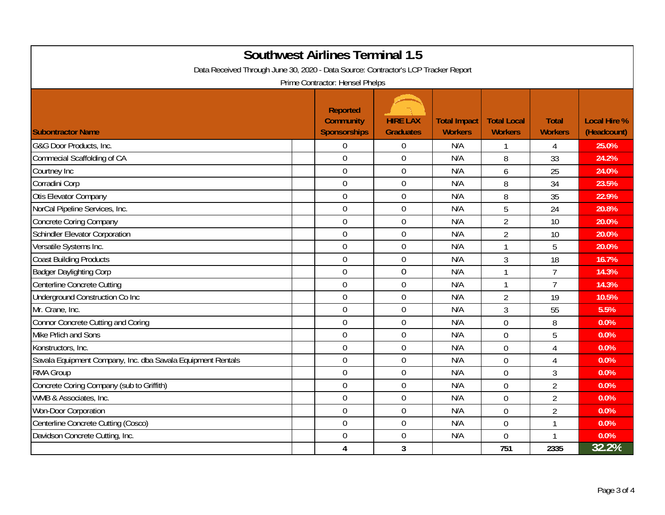| <b>Southwest Airlines Terminal 1.5</b><br>Data Received Through June 30, 2020 - Data Source: Contractor's LCP Tracker Report |                                                            |                                     |                                       |                                      |                                |                                    |  |  |
|------------------------------------------------------------------------------------------------------------------------------|------------------------------------------------------------|-------------------------------------|---------------------------------------|--------------------------------------|--------------------------------|------------------------------------|--|--|
|                                                                                                                              | Prime Contractor: Hensel Phelps                            |                                     |                                       |                                      |                                |                                    |  |  |
| <b>Subontractor Name</b>                                                                                                     | <b>Reported</b><br><b>Community</b><br><b>Sponsorships</b> | <b>HIRE LAX</b><br><b>Graduates</b> | <b>Total Impact</b><br><b>Workers</b> | <b>Total Local</b><br><b>Workers</b> | <b>Total</b><br><b>Workers</b> | <b>Local Hire %</b><br>(Headcount) |  |  |
| G&G Door Products, Inc.                                                                                                      | $\overline{0}$                                             | $\mathbf 0$                         | N/A                                   | $\mathbf{1}$                         | 4                              | 25.0%                              |  |  |
| Commecial Scaffolding of CA                                                                                                  | $\overline{0}$                                             | $\mathbf 0$                         | N/A                                   | 8                                    | 33                             | 24.2%                              |  |  |
| Courtney Inc                                                                                                                 | $\overline{0}$                                             | $\overline{0}$                      | N/A                                   | 6                                    | 25                             | 24.0%                              |  |  |
| Corradini Corp                                                                                                               | $\overline{0}$                                             | $\mathbf 0$                         | N/A                                   | 8                                    | 34                             | 23.5%                              |  |  |
| Otis Elevator Company                                                                                                        | $\overline{0}$                                             | $\mathbf 0$                         | N/A                                   | 8                                    | 35                             | 22.9%                              |  |  |
| NorCal Pipeline Services, Inc.                                                                                               | $\mathbf 0$                                                | $\boldsymbol{0}$                    | N/A                                   | 5                                    | 24                             | 20.8%                              |  |  |
| <b>Concrete Coring Company</b>                                                                                               | $\mathbf 0$                                                | $\boldsymbol{0}$                    | N/A                                   | $\overline{2}$                       | 10                             | 20.0%                              |  |  |
| Schindler Elevator Corporation                                                                                               | $\overline{0}$                                             | $\boldsymbol{0}$                    | N/A                                   | $\overline{2}$                       | 10                             | 20.0%                              |  |  |
| Versatile Systems Inc.                                                                                                       | $\overline{0}$                                             | $\mathbf 0$                         | N/A                                   | $\mathbf{1}$                         | 5                              | 20.0%                              |  |  |
| <b>Coast Building Products</b>                                                                                               | $\mathbf 0$                                                | $\boldsymbol{0}$                    | N/A                                   | 3                                    | 18                             | 16.7%                              |  |  |
| <b>Badger Daylighting Corp</b>                                                                                               | $\overline{0}$                                             | $\overline{0}$                      | N/A                                   | $\mathbf{1}$                         | $\overline{7}$                 | 14.3%                              |  |  |
| Centerline Concrete Cutting                                                                                                  | $\overline{0}$                                             | $\mathbf 0$                         | N/A                                   | $\mathbf{1}$                         | $\overline{7}$                 | 14.3%                              |  |  |
| Underground Construction Co Inc                                                                                              | $\overline{0}$                                             | $\boldsymbol{0}$                    | N/A                                   | $\overline{2}$                       | 19                             | 10.5%                              |  |  |
| Mr. Crane, Inc.                                                                                                              | $\overline{0}$                                             | $\mathbf 0$                         | N/A                                   | 3                                    | 55                             | 5.5%                               |  |  |
| <b>Connor Concrete Cutting and Coring</b>                                                                                    | $\mathbf 0$                                                | $\boldsymbol{0}$                    | N/A                                   | $\overline{0}$                       | 8                              | 0.0%                               |  |  |
| Mike Prlich and Sons                                                                                                         | $\overline{0}$                                             | $\mathbf 0$                         | N/A                                   | $\overline{0}$                       | 5                              | 0.0%                               |  |  |
| Konstructors, Inc.                                                                                                           | $\mathbf 0$                                                | $\mathbf 0$                         | N/A                                   | $\overline{0}$                       | $\overline{4}$                 | 0.0%                               |  |  |
| Savala Equipment Company, Inc. dba Savala Equipment Rentals                                                                  | $\mathbf 0$                                                | $\mathbf 0$                         | N/A                                   | 0                                    | 4                              | 0.0%                               |  |  |
| <b>RMA Group</b>                                                                                                             | $\overline{0}$                                             | $\mathbf 0$                         | N/A                                   | $\overline{0}$                       | 3                              | 0.0%                               |  |  |
| Concrete Coring Company (sub to Griffith)                                                                                    | $\mathbf 0$                                                | $\boldsymbol{0}$                    | N/A                                   | $\overline{0}$                       | $\overline{2}$                 | 0.0%                               |  |  |
| WMB & Associates, Inc.                                                                                                       | $\mathbf 0$                                                | $\mathbf 0$                         | N/A                                   | $\overline{0}$                       | $\overline{2}$                 | 0.0%                               |  |  |
| Won-Door Corporation                                                                                                         | $\mathbf 0$                                                | $\mathbf 0$                         | N/A                                   | $\overline{0}$                       | $\overline{2}$                 | 0.0%                               |  |  |
| Centerline Concrete Cutting (Cosco)                                                                                          | $\Omega$                                                   | $\mathbf 0$                         | N/A                                   | $\overline{0}$                       | 1                              | 0.0%                               |  |  |
| Davidson Concrete Cutting, Inc.                                                                                              | $\overline{0}$                                             | $\mathbf 0$                         | N/A                                   | $\overline{0}$                       |                                | 0.0%                               |  |  |
|                                                                                                                              | 4                                                          | $\mathbf{3}$                        |                                       | 751                                  | 2335                           | 32.2%                              |  |  |